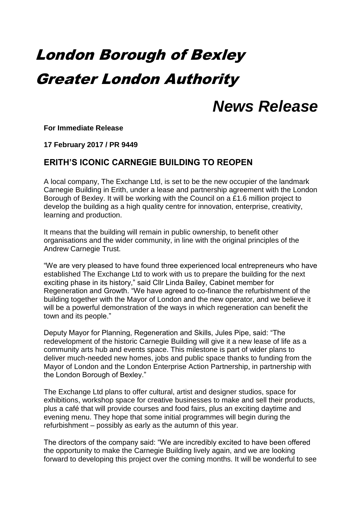# London Borough of Bexley Greater London Authority

## *News Release*

**For Immediate Release**

**17 February 2017 / PR 9449**

### **ERITH'S ICONIC CARNEGIE BUILDING TO REOPEN**

A local company, The Exchange Ltd, is set to be the new occupier of the landmark Carnegie Building in Erith, under a lease and partnership agreement with the London Borough of Bexley. It will be working with the Council on a £1.6 million project to develop the building as a high quality centre for innovation, enterprise, creativity, learning and production.

It means that the building will remain in public ownership, to benefit other organisations and the wider community, in line with the original principles of the Andrew Carnegie Trust.

"We are very pleased to have found three experienced local entrepreneurs who have established The Exchange Ltd to work with us to prepare the building for the next exciting phase in its history," said Cllr Linda Bailey, Cabinet member for Regeneration and Growth. "We have agreed to co-finance the refurbishment of the building together with the Mayor of London and the new operator, and we believe it will be a powerful demonstration of the ways in which regeneration can benefit the town and its people."

Deputy Mayor for Planning, Regeneration and Skills, Jules Pipe, said: "The redevelopment of the historic Carnegie Building will give it a new lease of life as a community arts hub and events space. This milestone is part of wider plans to deliver much-needed new homes, jobs and public space thanks to funding from the Mayor of London and the London Enterprise Action Partnership, in partnership with the London Borough of Bexley."

The Exchange Ltd plans to offer cultural, artist and designer studios, space for exhibitions, workshop space for creative businesses to make and sell their products, plus a café that will provide courses and food fairs, plus an exciting daytime and evening menu. They hope that some initial programmes will begin during the refurbishment – possibly as early as the autumn of this year.

The directors of the company said: "We are incredibly excited to have been offered the opportunity to make the Carnegie Building lively again, and we are looking forward to developing this project over the coming months. It will be wonderful to see